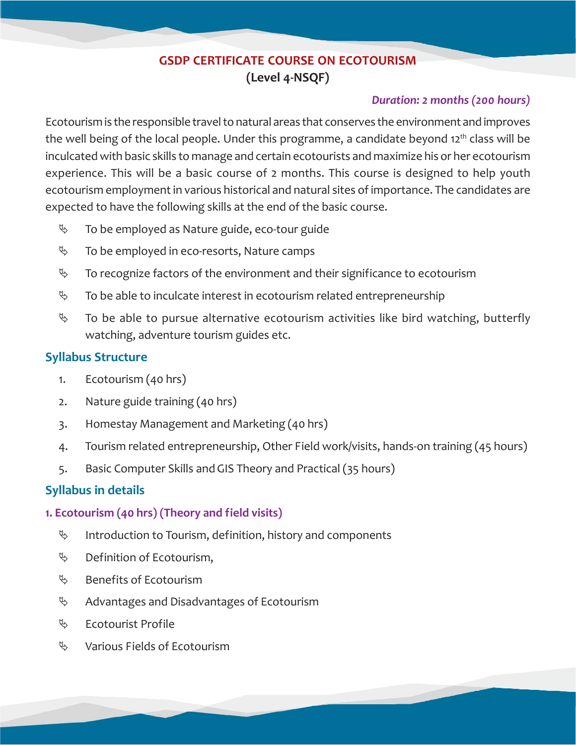# **GSDP CERTIFICATE COURSE ON ECOTOURISM (Level 4-NSQF)**

## *Duration: 2 months (200 hours)*

Ecotourism is the responsible travel to natural areas that conserves the environment and improves the well being of the local people. Under this programme, a candidate beyond  $12<sup>th</sup>$  class will be inculcated with basic skills to manage and certain ecotourists and maximize his or her ecotourism experience. This will be a basic course of 2 months. This course is designed to help youth ecotourism employment in various historical and natural sites of importance. The candidates are expected to have the following skills at the end of the basic course.

- $\%$  To be employed as Nature guide, eco-tour guide
- $\%$  To be employed in eco-resorts, Nature camps
- $\%$  To recognize factors of the environment and their significance to ecotourism
- $\%$  To be able to inculcate interest in ecotourism related entrepreneurship
- $\%$  To be able to pursue alternative ecotourism activities like bird watching, butterfly watching, adventure tourism guides etc.

## **Syllabus Structure**

- 1. Ecotourism (40 hrs)
- 2. Nature guide training (40 hrs)
- 3. Homestay Management and Marketing (40 hrs)
- 4. Tourism related entrepreneurship, Other Field work/visits, hands-on training (45 hours)
- 5. Basic Computer Skills and GIS Theory and Practical (35 hours)

## **Syllabus in details**

## **1. Ecotourism (40 hrs) (Theory and field visits)**

- $\%$  Introduction to Tourism, definition, history and components
- $\%$  Definition of Ecotourism,
- $\%$  Benefits of Ecotourism
- $\%$  Advantages and Disadvantages of Ecotourism
- $\%$  Ecotourist Profile
- $\%$  Various Fields of Ecotourism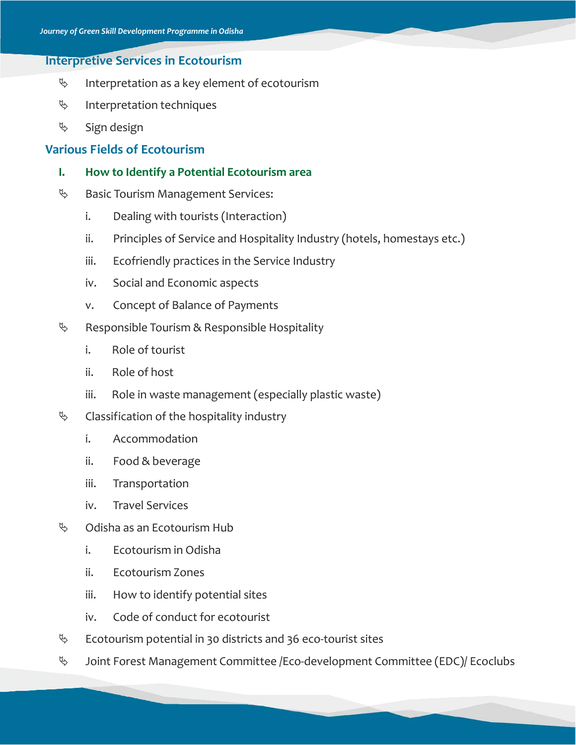## **Interpretive Services in Ecotourism**

- $\%$  Interpretation as a key element of ecotourism
- $\%$  Interpretation techniques
- $\%$  Sign design

## **Various Fields of Ecotourism**

- **I. How to Identify a Potential Ecotourism area**
- $\%$  Basic Tourism Management Services:
	- i. Dealing with tourists (Interaction)
	- ii. Principles of Service and Hospitality Industry (hotels, homestays etc.)
	- iii. Ecofriendly practices in the Service Industry
	- iv. Social and Economic aspects
	- v. Concept of Balance of Payments
- $\&$  Responsible Tourism & Responsible Hospitality
	- i. Role of tourist
	- ii. Role of host
	- iii. Role in waste management (especially plastic waste)
- $\&$  Classification of the hospitality industry
	- i. Accommodation
	- ii. Food & beverage
	- iii. Transportation
	- iv. Travel Services
- $\%$  Odisha as an Ecotourism Hub
	- i. Ecotourism in Odisha
	- ii. Ecotourism Zones
	- iii. How to identify potential sites
	- iv. Code of conduct for ecotourist
- $\%$  Ecotourism potential in 30 districts and 36 eco-tourist sites
- $\%$  Joint Forest Management Committee /Eco-development Committee (EDC)/ Ecoclubs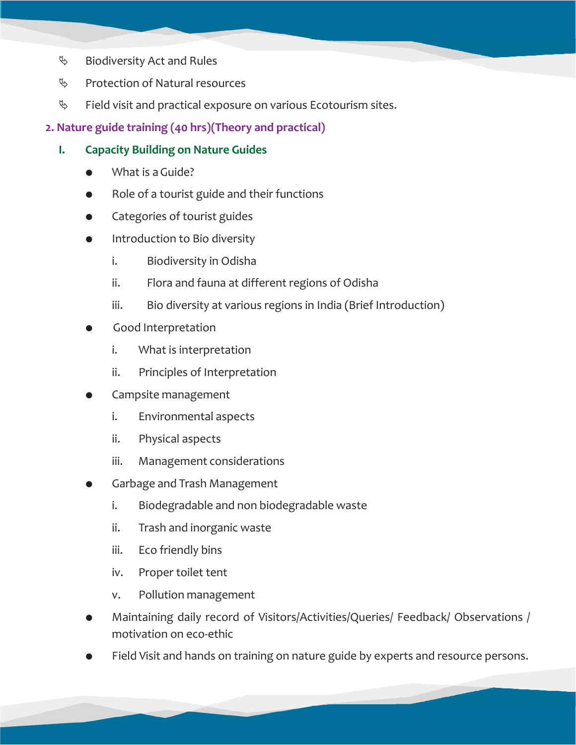- $\%$  Biodiversity Act and Rules
- $\%$  Protection of Natural resources
- $\%$  Field visit and practical exposure on various Ecotourism sites.
- **2. Nature guide training (40 hrs)(Theory and practical)**
	- **I. Capacity Building on Nature Guides**
		- What is a Guide?
		- Role of a tourist guide and their functions
		- Categories of tourist guides
		- Introduction to Bio diversity
			- i. Biodiversity in Odisha
			- ii. Flora and fauna at different regions of Odisha
			- iii. Bio diversity at various regions in India (Brief Introduction)
		- Good Interpretation
			- i. What is interpretation
			- ii. Principles of Interpretation
		- Campsite management
			- i. Environmental aspects
			- ii. Physical aspects
			- iii. Management considerations
		- Garbage and Trash Management
			- i. Biodegradable and non biodegradable waste
			- ii. Trash and inorganic waste
			- iii. Eco friendly bins
			- iv. Proper toilet tent
			- v. Pollution management
		- Maintaining daily record of Visitors/Activities/Queries/ Feedback/ Observations / motivation on eco-ethic
		- Field Visit and hands on training on nature guide by experts and resource persons.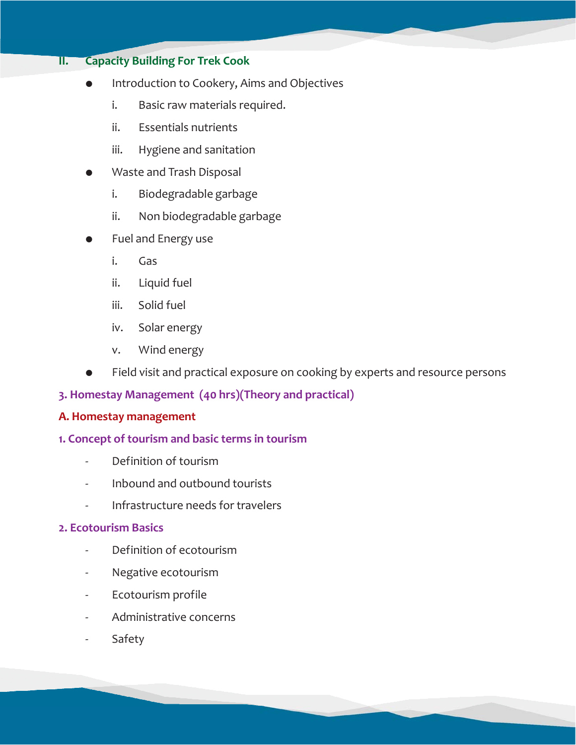## **II. Capacity Building For Trek Cook**

- Introduction to Cookery, Aims and Objectives
	- i. Basic raw materials required.
	- ii. Essentials nutrients
	- iii. Hygiene and sanitation
- Waste and Trash Disposal
	- i. Biodegradable garbage
	- ii. Non biodegradable garbage
- Fuel and Energy use
	- i. Gas
	- ii. Liquid fuel
	- iii. Solid fuel
	- iv. Solar energy
	- v. Wind energy
- Field visit and practical exposure on cooking by experts and resource persons

## **3. Homestay Management (40 hrs)(Theory and practical)**

#### **A. Homestay management**

#### **1. Concept of tourism and basic terms in tourism**

- Definition of tourism
- Inbound and outbound tourists
- Infrastructure needs for travelers

#### **2. Ecotourism Basics**

- Definition of ecotourism
- Negative ecotourism
- Ecotourism profile
- Administrative concerns
- **Safety**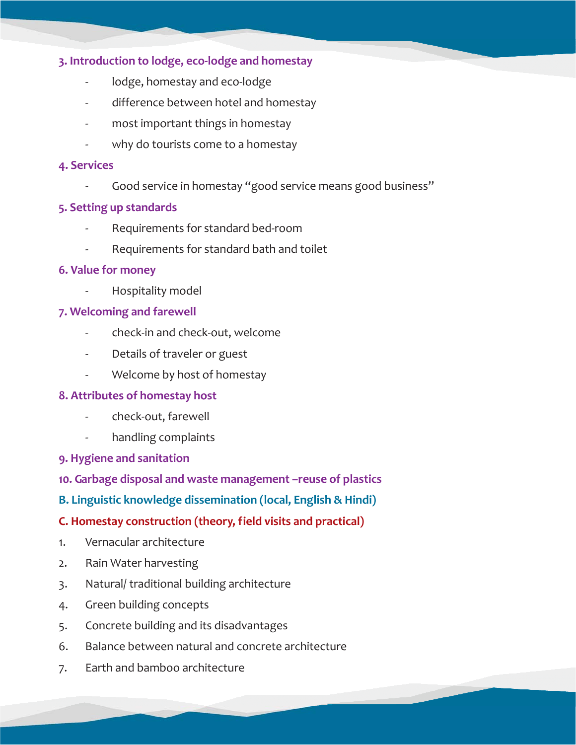## **3. Introduction to lodge, eco-lodge and homestay**

- lodge, homestay and eco-lodge
- difference between hotel and homestay
- most important things in homestay
- why do tourists come to a homestay

#### **4. Services**

Good service in homestay "good service means good business"

#### **5. Setting up standards**

- Requirements for standard bed-room
- Requirements for standard bath and toilet

#### **6. Value for money**

Hospitality model

#### **7. Welcoming and farewell**

- check-in and check-out, welcome
- Details of traveler or guest
- Welcome by host of homestay

## **8. Attributes of homestay host**

- check-out, farewell
- handling complaints
- **9. Hygiene and sanitation**
- **10. Garbage disposal and waste management –reuse of plastics**
- **B. Linguistic knowledge dissemination (local, English & Hindi)**

## **C. Homestay construction (theory, field visits and practical)**

- 1. Vernacular architecture
- 2. Rain Water harvesting
- 3. Natural/ traditional building architecture
- 4. Green building concepts
- 5. Concrete building and its disadvantages
- 6. Balance between natural and concrete architecture
- 7. Earth and bamboo architecture